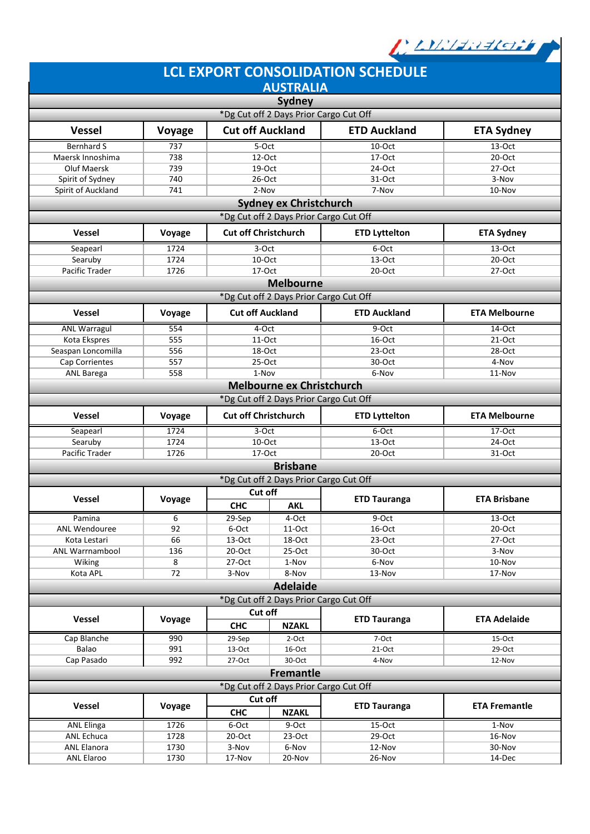

|                                         |                                        |                             |                                                                          | <b>LCL EXPORT CONSOLIDATION SCHEDULE</b> |                      |  |  |  |  |
|-----------------------------------------|----------------------------------------|-----------------------------|--------------------------------------------------------------------------|------------------------------------------|----------------------|--|--|--|--|
|                                         |                                        |                             | <b>AUSTRALIA</b>                                                         |                                          |                      |  |  |  |  |
|                                         |                                        |                             | Sydney                                                                   |                                          |                      |  |  |  |  |
|                                         |                                        |                             | *Dg Cut off 2 Days Prior Cargo Cut Off                                   |                                          |                      |  |  |  |  |
| <b>Vessel</b>                           | Voyage                                 | <b>Cut off Auckland</b>     |                                                                          | <b>ETD Auckland</b>                      | <b>ETA Sydney</b>    |  |  |  |  |
| <b>Bernhard S</b>                       | 737                                    | 5-Oct                       |                                                                          | 10-Oct                                   | 13-Oct               |  |  |  |  |
| Maersk Innoshima                        | 738                                    | 12-Oct                      |                                                                          | 17-Oct                                   | 20-Oct               |  |  |  |  |
| Oluf Maersk                             | 739                                    | 19-Oct                      |                                                                          | 24-Oct                                   | 27-Oct               |  |  |  |  |
| Spirit of Sydney                        | 740                                    | 26-Oct                      |                                                                          | 31-Oct                                   | 3-Nov                |  |  |  |  |
| Spirit of Auckland                      | 741                                    | 2-Nov                       |                                                                          | 7-Nov                                    | 10-Nov               |  |  |  |  |
|                                         |                                        |                             | <b>Sydney ex Christchurch</b>                                            |                                          |                      |  |  |  |  |
| *Dg Cut off 2 Days Prior Cargo Cut Off  |                                        |                             |                                                                          |                                          |                      |  |  |  |  |
| <b>Vessel</b>                           | Voyage                                 |                             | <b>Cut off Christchurch</b><br><b>ETD Lyttelton</b><br><b>ETA Sydney</b> |                                          |                      |  |  |  |  |
| Seapearl                                | 1724                                   | 3-Oct                       |                                                                          | 6-Oct                                    | 13-Oct               |  |  |  |  |
| Searuby                                 | 1724                                   | 10-Oct                      |                                                                          | $13-Oct$                                 | $20-Oct$             |  |  |  |  |
| <b>Pacific Trader</b>                   | 1726                                   | 17-Oct                      |                                                                          | 20-Oct                                   | 27-Oct               |  |  |  |  |
|                                         |                                        |                             | <b>Melbourne</b>                                                         |                                          |                      |  |  |  |  |
|                                         |                                        |                             | *Dg Cut off 2 Days Prior Cargo Cut Off                                   |                                          |                      |  |  |  |  |
| <b>Vessel</b>                           | Voyage                                 | <b>Cut off Auckland</b>     |                                                                          | <b>ETD Auckland</b>                      | <b>ETA Melbourne</b> |  |  |  |  |
| <b>ANL Warragul</b>                     | 554                                    | 4-Oct                       |                                                                          | 9-Oct                                    | 14-Oct               |  |  |  |  |
| Kota Ekspres                            | 555                                    | 11-Oct                      |                                                                          | 16-Oct                                   | $21-Oct$             |  |  |  |  |
| Seaspan Loncomilla                      | 556                                    | 18-Oct                      |                                                                          | 23-Oct                                   | 28-Oct               |  |  |  |  |
| Cap Corrientes                          | 557                                    | 25-Oct                      |                                                                          | 30-Oct                                   | 4-Nov                |  |  |  |  |
| ANL Barega                              | 558                                    | 1-Nov                       |                                                                          | 6-Nov                                    | 11-Nov               |  |  |  |  |
|                                         |                                        |                             | Melbourne ex Christchurch                                                |                                          |                      |  |  |  |  |
|                                         |                                        |                             | *Dg Cut off 2 Days Prior Cargo Cut Off                                   |                                          |                      |  |  |  |  |
| <b>Vessel</b>                           | Voyage                                 | <b>Cut off Christchurch</b> |                                                                          | <b>ETD Lyttelton</b>                     | <b>ETA Melbourne</b> |  |  |  |  |
| Seapearl                                | 1724                                   | 3-Oct                       |                                                                          | 6-Oct                                    | 17-Oct               |  |  |  |  |
| Searuby                                 | 1724                                   | 10-Oct                      |                                                                          | $13-Oct$                                 | $24$ -Oct            |  |  |  |  |
| Pacific Trader                          | 1726                                   | 17-Oct                      |                                                                          | 20-Oct                                   | 31-Oct               |  |  |  |  |
|                                         |                                        |                             | <b>Brisbane</b>                                                          |                                          |                      |  |  |  |  |
|                                         |                                        |                             | *Dg Cut off 2 Days Prior Cargo Cut Off                                   |                                          |                      |  |  |  |  |
| <b>Vessel</b>                           | Voyage                                 | Cut off                     |                                                                          | <b>ETD Tauranga</b>                      | <b>ETA Brisbane</b>  |  |  |  |  |
|                                         |                                        | <b>CHC</b>                  | <b>AKL</b>                                                               |                                          |                      |  |  |  |  |
| Pamina                                  | 6                                      | $29-Sep$                    | 4-Oct                                                                    | 9-Oct                                    | 13-Oct               |  |  |  |  |
| ANL Wendouree                           | 92                                     | 6-Oct                       | 11-Oct                                                                   | 16-Oct                                   | 20-Oct               |  |  |  |  |
| Kota Lestari                            | 66                                     | 13-Oct                      | 18-Oct                                                                   | $23-Oct$                                 | 27-Oct               |  |  |  |  |
| <b>ANL Warrnambool</b>                  | 136                                    | 20-Oct                      | $25-Oct$                                                                 | 30-Oct                                   | 3-Nov                |  |  |  |  |
| Wiking                                  | 8                                      | 27-Oct                      | 1-Nov                                                                    | 6-Nov                                    | 10-Nov               |  |  |  |  |
| Kota APL                                | 72                                     | 3-Nov                       | 8-Nov                                                                    | 13-Nov                                   | 17-Nov               |  |  |  |  |
|                                         |                                        |                             | <b>Adelaide</b>                                                          |                                          |                      |  |  |  |  |
|                                         | *Dg Cut off 2 Days Prior Cargo Cut Off |                             |                                                                          |                                          |                      |  |  |  |  |
| <b>Vessel</b>                           | Voyage                                 | Cut off                     |                                                                          | <b>ETD Tauranga</b>                      | <b>ETA Adelaide</b>  |  |  |  |  |
|                                         |                                        | <b>CHC</b>                  | <b>NZAKL</b>                                                             |                                          |                      |  |  |  |  |
| Cap Blanche                             | 990                                    | 29-Sep                      | 2-Oct                                                                    | 7-Oct                                    | 15-Oct               |  |  |  |  |
| Balao                                   | 991<br>992                             | 13-Oct                      | 16-Oct                                                                   | $21-Oct$                                 | 29-Oct               |  |  |  |  |
| Cap Pasado                              |                                        | 27-Oct                      | 30-Oct                                                                   | 4-Nov                                    | 12-Nov               |  |  |  |  |
|                                         |                                        |                             | <b>Fremantle</b>                                                         |                                          |                      |  |  |  |  |
| *Dg Cut off 2 Days Prior Cargo Cut Off  |                                        |                             |                                                                          |                                          |                      |  |  |  |  |
| Vessel                                  | Voyage                                 | Cut off                     |                                                                          | <b>ETD Tauranga</b>                      | <b>ETA Fremantle</b> |  |  |  |  |
|                                         |                                        | <b>CHC</b>                  | <b>NZAKL</b>                                                             |                                          |                      |  |  |  |  |
| <b>ANL Elinga</b>                       | 1726                                   | 6-Oct                       | $9-Oct$                                                                  | $15-Oct$                                 | $1-Nov$              |  |  |  |  |
| ANL Echuca                              | 1728                                   | $20$ -Oct                   | $23-Oct$                                                                 | 29-Oct                                   | 16-Nov               |  |  |  |  |
| <b>ANL Elanora</b><br><b>ANL Elaroo</b> | 1730<br>1730                           | 3-Nov<br>17-Nov             | 6-Nov<br>20-Nov                                                          | 12-Nov<br>26-Nov                         | 30-Nov<br>14-Dec     |  |  |  |  |
|                                         |                                        |                             |                                                                          |                                          |                      |  |  |  |  |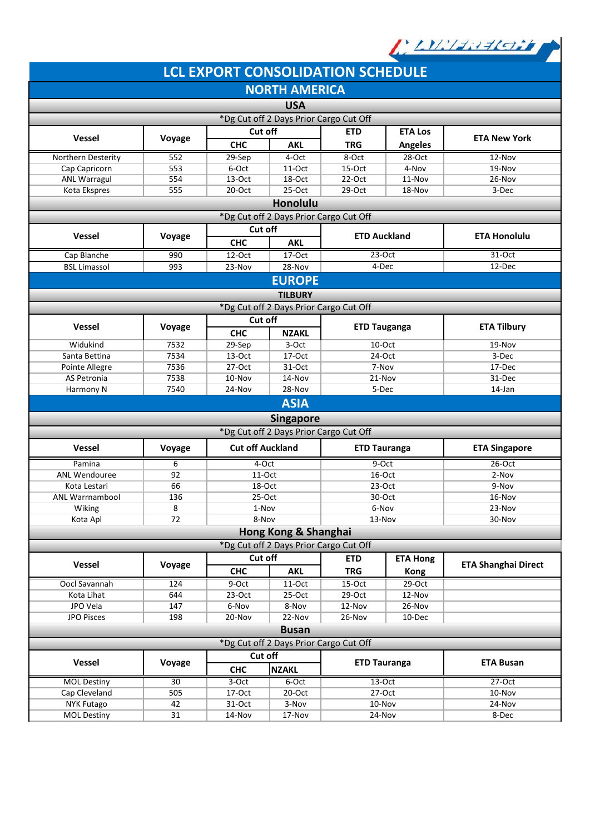

|                                        |              |                         |                                        | <b>LCL EXPORT CONSOLIDATION SCHEDULE</b> |                     |                            |  |  |  |
|----------------------------------------|--------------|-------------------------|----------------------------------------|------------------------------------------|---------------------|----------------------------|--|--|--|
|                                        |              |                         | <b>NORTH AMERICA</b>                   |                                          |                     |                            |  |  |  |
|                                        |              |                         | <b>USA</b>                             |                                          |                     |                            |  |  |  |
| *Dg Cut off 2 Days Prior Cargo Cut Off |              |                         |                                        |                                          |                     |                            |  |  |  |
|                                        |              | Cut off                 |                                        | <b>ETD</b>                               | <b>ETA Los</b>      |                            |  |  |  |
| <b>Vessel</b>                          | Voyage       | <b>CHC</b>              | <b>AKL</b>                             | <b>TRG</b>                               | <b>Angeles</b>      | <b>ETA New York</b>        |  |  |  |
| Northern Desterity                     | 552          | 29-Sep                  | 4-Oct                                  | 8-Oct                                    | 28-Oct              | 12-Nov                     |  |  |  |
| Cap Capricorn                          | 553          | 6-Oct                   | 11-Oct                                 | 15-Oct                                   | 4-Nov               | 19-Nov                     |  |  |  |
| <b>ANL Warragul</b>                    | 554          | 13-Oct                  | $18$ -Oct                              | 22-Oct                                   | 11-Nov              | 26-Nov                     |  |  |  |
| Kota Ekspres                           | 555          | $20$ -Oct               | 25-Oct                                 | $29-Oct$                                 | 18-Nov              | 3-Dec                      |  |  |  |
|                                        |              |                         | Honolulu                               |                                          |                     |                            |  |  |  |
| *Dg Cut off 2 Days Prior Cargo Cut Off |              |                         |                                        |                                          |                     |                            |  |  |  |
| <b>Vessel</b>                          | Voyage       |                         | Cut off                                |                                          | <b>ETD Auckland</b> | <b>ETA Honolulu</b>        |  |  |  |
|                                        |              | <b>CHC</b>              | <b>AKL</b>                             |                                          |                     |                            |  |  |  |
| Cap Blanche                            | 990          | 12-Oct                  | 17-Oct                                 | $23-Oct$                                 |                     | $31-Oct$                   |  |  |  |
| <b>BSL Limassol</b>                    | 993          | 23-Nov                  | 28-Nov                                 | 4-Dec                                    |                     | 12-Dec                     |  |  |  |
|                                        |              |                         | <b>EUROPE</b>                          |                                          |                     |                            |  |  |  |
|                                        |              |                         | <b>TILBURY</b>                         |                                          |                     |                            |  |  |  |
|                                        |              |                         | *Dg Cut off 2 Days Prior Cargo Cut Off |                                          |                     |                            |  |  |  |
| Vessel                                 | Voyage       | Cut off                 |                                        | <b>ETD Tauganga</b>                      |                     | <b>ETA Tilbury</b>         |  |  |  |
|                                        |              | <b>CHC</b>              | <b>NZAKL</b>                           |                                          |                     |                            |  |  |  |
| Widukind                               | 7532         | 29-Sep                  | 3-Oct                                  | $10$ -Oct                                |                     | 19-Nov                     |  |  |  |
| Santa Bettina                          | 7534         | $13-Oct$                | 17-Oct                                 | 24-Oct                                   |                     | 3-Dec                      |  |  |  |
| Pointe Allegre<br>AS Petronia          | 7536<br>7538 | $27-Oct$                | 31-Oct                                 | 7-Nov                                    |                     | 17-Dec                     |  |  |  |
| Harmony N                              | 7540         | 10-Nov<br>24-Nov        | 14-Nov<br>28-Nov                       | 21-Nov<br>5-Dec                          |                     | 31-Dec<br>14-Jan           |  |  |  |
| <b>ASIA</b>                            |              |                         |                                        |                                          |                     |                            |  |  |  |
|                                        |              |                         |                                        |                                          |                     |                            |  |  |  |
|                                        |              |                         | <b>Singapore</b>                       |                                          |                     |                            |  |  |  |
|                                        |              |                         | *Dg Cut off 2 Days Prior Cargo Cut Off |                                          |                     |                            |  |  |  |
| Vessel                                 | Voyage       | <b>Cut off Auckland</b> |                                        | <b>ETD Tauranga</b>                      |                     | <b>ETA Singapore</b>       |  |  |  |
| Pamina                                 | 6            | 4-Oct                   |                                        | 9-Oct                                    |                     | 26-Oct                     |  |  |  |
| <b>ANL Wendouree</b>                   | 92           | 11-Oct                  |                                        | 16-Oct                                   |                     | 2-Nov                      |  |  |  |
| Kota Lestari<br><b>ANL Warrnambool</b> | 66<br>136    | 18-Oct<br>$25-Oct$      |                                        | $23-Oct$<br>30-Oct                       |                     | 9-Nov<br>16-Nov            |  |  |  |
| Wiking                                 | 8            | 1-Nov                   |                                        | 6-Nov                                    |                     | 23-Nov                     |  |  |  |
| Kota Apl                               | 72           | 8-Nov                   |                                        | 13-Nov                                   |                     | 30-Nov                     |  |  |  |
|                                        |              |                         | Hong Kong & Shanghai                   |                                          |                     |                            |  |  |  |
|                                        |              |                         | *Dg Cut off 2 Days Prior Cargo Cut Off |                                          |                     |                            |  |  |  |
|                                        |              | Cut off                 |                                        | <b>ETD</b><br><b>ETA Hong</b>            |                     |                            |  |  |  |
| Vessel                                 | Voyage       | <b>CHC</b>              | <b>AKL</b>                             | <b>TRG</b>                               | <b>Kong</b>         | <b>ETA Shanghai Direct</b> |  |  |  |
| Oocl Savannah                          | 124          | 9-Oct                   | 11-Oct                                 | $15-Oct$                                 | $29-Oct$            |                            |  |  |  |
| Kota Lihat                             | 644          | $23-Oct$                | 25-Oct                                 | 29-Oct                                   | 12-Nov              |                            |  |  |  |
| JPO Vela                               | 147          | 6-Nov                   | 8-Nov                                  | 12-Nov                                   | 26-Nov              |                            |  |  |  |
| JPO Pisces                             | 198          | 20-Nov                  | 22-Nov                                 | 26-Nov                                   | 10-Dec              |                            |  |  |  |
| <b>Busan</b>                           |              |                         |                                        |                                          |                     |                            |  |  |  |
| *Dg Cut off 2 Days Prior Cargo Cut Off |              |                         |                                        |                                          |                     |                            |  |  |  |
| Cut off<br>Vessel<br>Voyage            |              |                         | <b>ETD Tauranga</b>                    |                                          | <b>ETA Busan</b>    |                            |  |  |  |
|                                        |              | <b>CHC</b>              | <b>NZAKL</b>                           |                                          |                     |                            |  |  |  |
| <b>MOL Destiny</b>                     | 30           | 3-Oct                   | 6-Oct                                  | 13-Oct                                   |                     | 27-Oct                     |  |  |  |
| Cap Cleveland                          | 505          | 17-Oct                  | $20$ -Oct                              | 27-Oct                                   |                     | 10-Nov                     |  |  |  |
| <b>NYK Futago</b>                      | 42           | 31-Oct                  | 3-Nov                                  | 10-Nov                                   |                     | 24-Nov                     |  |  |  |
| <b>MOL Destiny</b>                     | 31           | 14-Nov                  | 17-Nov                                 | 24-Nov                                   |                     | 8-Dec                      |  |  |  |